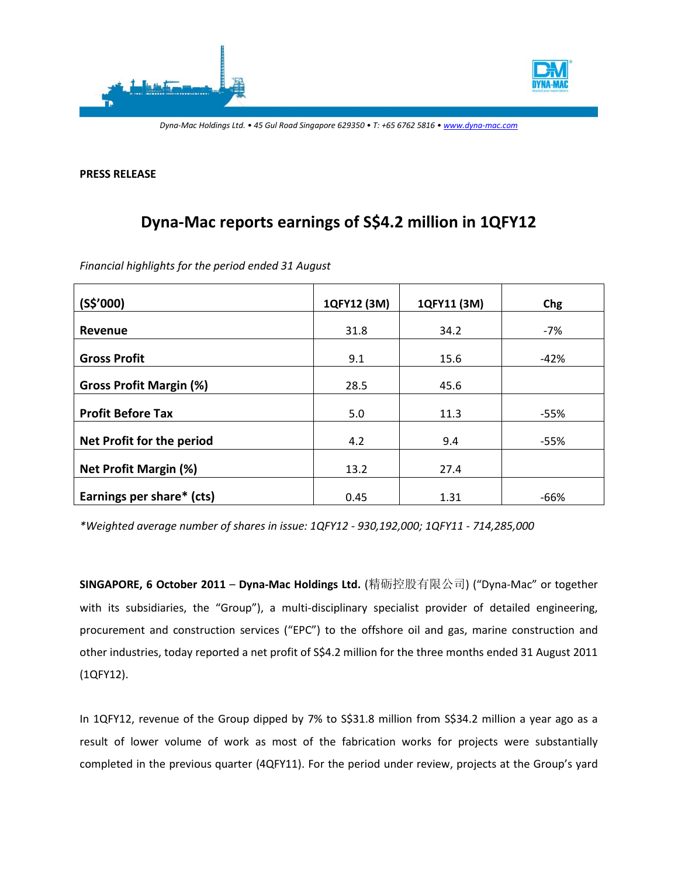

**PRESS RELEASE** 

# **Dyna-Mac reports earnings of S\$4.2 million in 1QFY12**

| Financial highlights for the period ended 31 August |  |
|-----------------------------------------------------|--|
|                                                     |  |

| (S\$'000)                      | 1QFY12 (3M) | 1QFY11 (3M) | Chg    |
|--------------------------------|-------------|-------------|--------|
| Revenue                        | 31.8        | 34.2        | $-7%$  |
| <b>Gross Profit</b>            | 9.1         | 15.6        | $-42%$ |
| <b>Gross Profit Margin (%)</b> | 28.5        | 45.6        |        |
| <b>Profit Before Tax</b>       | 5.0         | 11.3        | $-55%$ |
| Net Profit for the period      | 4.2         | 9.4         | $-55%$ |
| <b>Net Profit Margin (%)</b>   | 13.2        | 27.4        |        |
| Earnings per share* (cts)      | 0.45        | 1.31        | $-66%$ |

*\*Weighted average number of shares in issue: 1QFY12 - 930,192,000; 1QFY11 - 714,285,000* 

**SINGAPORE, 6 October 2011** – **Dyna-Mac Holdings Ltd.** (精砺控股有限公司) ("Dyna-Mac" or together with its subsidiaries, the "Group"), a multi-disciplinary specialist provider of detailed engineering, procurement and construction services ("EPC") to the offshore oil and gas, marine construction and other industries, today reported a net profit of S\$4.2 million for the three months ended 31 August 2011 (1QFY12).

In 1QFY12, revenue of the Group dipped by 7% to S\$31.8 million from S\$34.2 million a year ago as a result of lower volume of work as most of the fabrication works for projects were substantially completed in the previous quarter (4QFY11). For the period under review, projects at the Group's yard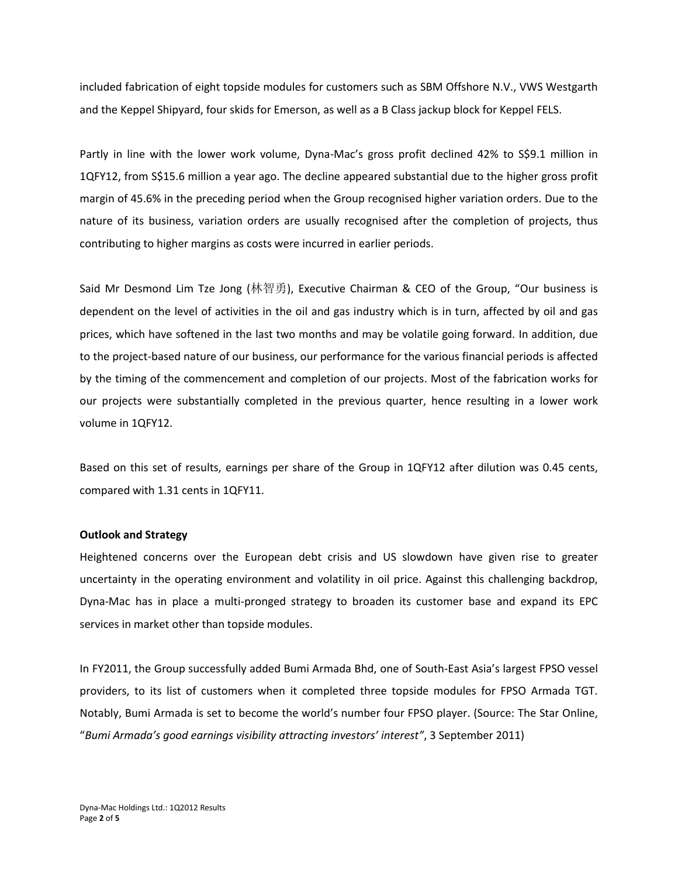included fabrication of eight topside modules for customers such as SBM Offshore N.V., VWS Westgarth and the Keppel Shipyard, four skids for Emerson, as well as a B Class jackup block for Keppel FELS.

Partly in line with the lower work volume, Dyna-Mac's gross profit declined 42% to S\$9.1 million in 1QFY12, from S\$15.6 million a year ago. The decline appeared substantial due to the higher gross profit margin of 45.6% in the preceding period when the Group recognised higher variation orders. Due to the nature of its business, variation orders are usually recognised after the completion of projects, thus contributing to higher margins as costs were incurred in earlier periods.

Said Mr Desmond Lim Tze Jong (林智勇), Executive Chairman & CEO of the Group, "Our business is dependent on the level of activities in the oil and gas industry which is in turn, affected by oil and gas prices, which have softened in the last two months and may be volatile going forward. In addition, due to the project-based nature of our business, our performance for the various financial periods is affected by the timing of the commencement and completion of our projects. Most of the fabrication works for our projects were substantially completed in the previous quarter, hence resulting in a lower work volume in 1QFY12.

Based on this set of results, earnings per share of the Group in 1QFY12 after dilution was 0.45 cents, compared with 1.31 cents in 1QFY11.

#### **Outlook and Strategy**

Heightened concerns over the European debt crisis and US slowdown have given rise to greater uncertainty in the operating environment and volatility in oil price. Against this challenging backdrop, Dyna-Mac has in place a multi-pronged strategy to broaden its customer base and expand its EPC services in market other than topside modules.

In FY2011, the Group successfully added Bumi Armada Bhd, one of South-East Asia's largest FPSO vessel providers, to its list of customers when it completed three topside modules for FPSO Armada TGT. Notably, Bumi Armada is set to become the world's number four FPSO player. (Source: The Star Online, "*Bumi Armada's good earnings visibility attracting investors' interest"*, 3 September 2011)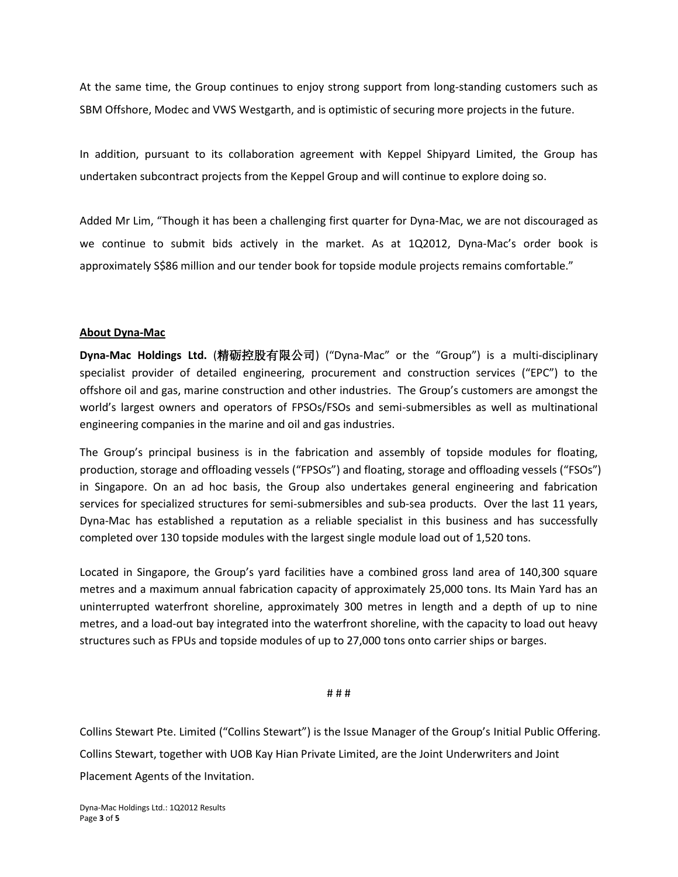At the same time, the Group continues to enjoy strong support from long-standing customers such as SBM Offshore, Modec and VWS Westgarth, and is optimistic of securing more projects in the future.

In addition, pursuant to its collaboration agreement with Keppel Shipyard Limited, the Group has undertaken subcontract projects from the Keppel Group and will continue to explore doing so.

Added Mr Lim, "Though it has been a challenging first quarter for Dyna-Mac, we are not discouraged as we continue to submit bids actively in the market. As at 1Q2012, Dyna-Mac's order book is approximately S\$86 million and our tender book for topside module projects remains comfortable."

### **About Dyna-Mac**

**Dyna-Mac Holdings Ltd.** (精砺控股有限公司) ("Dyna-Mac" or the "Group") is a multi-disciplinary specialist provider of detailed engineering, procurement and construction services ("EPC") to the offshore oil and gas, marine construction and other industries. The Group's customers are amongst the world's largest owners and operators of FPSOs/FSOs and semi-submersibles as well as multinational engineering companies in the marine and oil and gas industries.

The Group's principal business is in the fabrication and assembly of topside modules for floating, production, storage and offloading vessels ("FPSOs") and floating, storage and offloading vessels ("FSOs") in Singapore. On an ad hoc basis, the Group also undertakes general engineering and fabrication services for specialized structures for semi-submersibles and sub-sea products. Over the last 11 years, Dyna-Mac has established a reputation as a reliable specialist in this business and has successfully completed over 130 topside modules with the largest single module load out of 1,520 tons.

Located in Singapore, the Group's yard facilities have a combined gross land area of 140,300 square metres and a maximum annual fabrication capacity of approximately 25,000 tons. Its Main Yard has an uninterrupted waterfront shoreline, approximately 300 metres in length and a depth of up to nine metres, and a load-out bay integrated into the waterfront shoreline, with the capacity to load out heavy structures such as FPUs and topside modules of up to 27,000 tons onto carrier ships or barges.

#### # # #

Collins Stewart Pte. Limited ("Collins Stewart") is the Issue Manager of the Group's Initial Public Offering. Collins Stewart, together with UOB Kay Hian Private Limited, are the Joint Underwriters and Joint Placement Agents of the Invitation.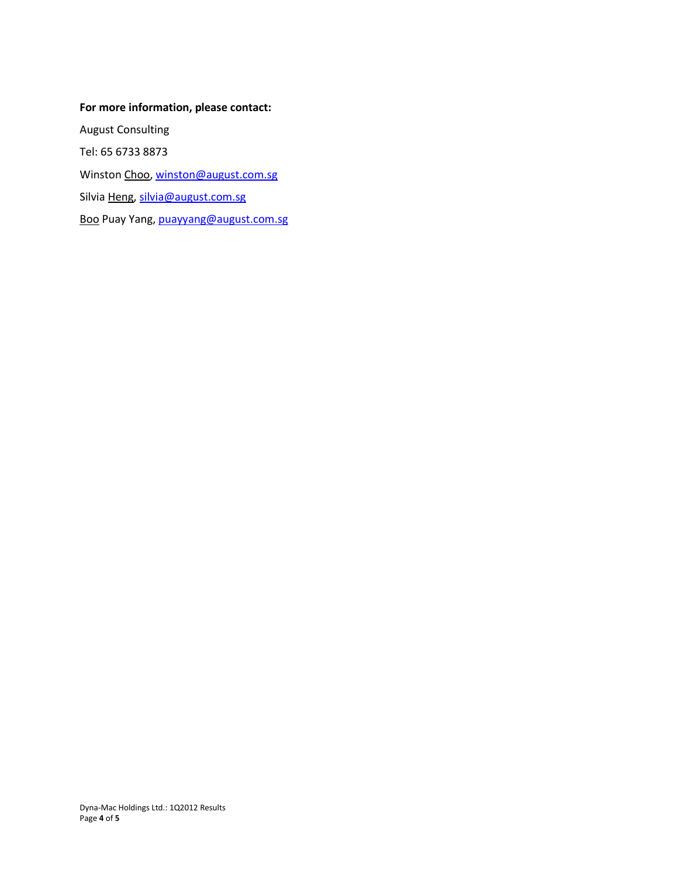# **For more information, please contact:**

August Consulting Tel: 65 6733 8873 Winston Choo[, winston@august.com.sg](mailto:winston@august.com.sg) Silvia Heng, [silvia@august.com.sg](mailto:silvia@august.com.sg) Boo Puay Yang, [puayyang@august.com.sg](mailto:puayyang@august.com.sg)